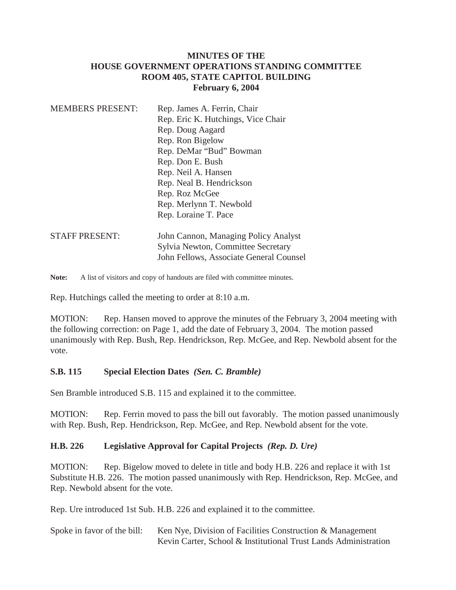# **MINUTES OF THE HOUSE GOVERNMENT OPERATIONS STANDING COMMITTEE ROOM 405, STATE CAPITOL BUILDING February 6, 2004**

| <b>MEMBERS PRESENT:</b> | Rep. James A. Ferrin, Chair                                                                                           |
|-------------------------|-----------------------------------------------------------------------------------------------------------------------|
|                         | Rep. Eric K. Hutchings, Vice Chair                                                                                    |
|                         | Rep. Doug Aagard                                                                                                      |
|                         | Rep. Ron Bigelow                                                                                                      |
|                         | Rep. DeMar "Bud" Bowman                                                                                               |
|                         | Rep. Don E. Bush                                                                                                      |
|                         | Rep. Neil A. Hansen                                                                                                   |
|                         | Rep. Neal B. Hendrickson                                                                                              |
|                         | Rep. Roz McGee                                                                                                        |
|                         | Rep. Merlynn T. Newbold                                                                                               |
|                         | Rep. Loraine T. Pace                                                                                                  |
| <b>STAFF PRESENT:</b>   | John Cannon, Managing Policy Analyst<br>Sylvia Newton, Committee Secretary<br>John Fellows, Associate General Counsel |
|                         |                                                                                                                       |

**Note:** A list of visitors and copy of handouts are filed with committee minutes.

Rep. Hutchings called the meeting to order at 8:10 a.m.

MOTION: Rep. Hansen moved to approve the minutes of the February 3, 2004 meeting with the following correction: on Page 1, add the date of February 3, 2004. The motion passed unanimously with Rep. Bush, Rep. Hendrickson, Rep. McGee, and Rep. Newbold absent for the vote.

### **S.B. 115 Special Election Dates** *(Sen. C. Bramble)*

Sen Bramble introduced S.B. 115 and explained it to the committee.

MOTION: Rep. Ferrin moved to pass the bill out favorably. The motion passed unanimously with Rep. Bush, Rep. Hendrickson, Rep. McGee, and Rep. Newbold absent for the vote.

# **H.B. 226 Legislative Approval for Capital Projects** *(Rep. D. Ure)*

MOTION: Rep. Bigelow moved to delete in title and body H.B. 226 and replace it with 1st Substitute H.B. 226. The motion passed unanimously with Rep. Hendrickson, Rep. McGee, and Rep. Newbold absent for the vote.

Rep. Ure introduced 1st Sub. H.B. 226 and explained it to the committee.

| Spoke in favor of the bill: | Ken Nye, Division of Facilities Construction & Management       |
|-----------------------------|-----------------------------------------------------------------|
|                             | Kevin Carter, School & Institutional Trust Lands Administration |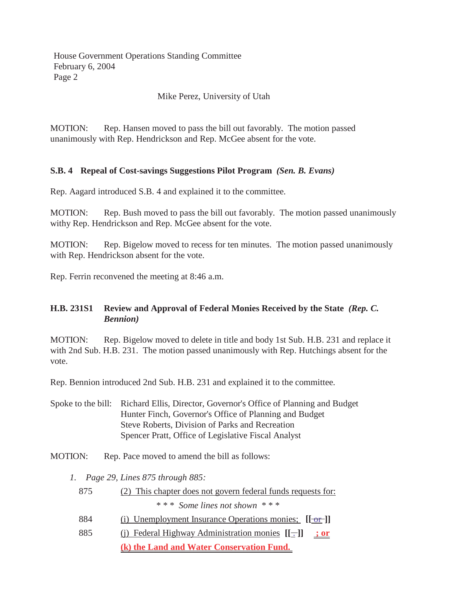House Government Operations Standing Committee February 6, 2004 Page 2

Mike Perez, University of Utah

MOTION: Rep. Hansen moved to pass the bill out favorably. The motion passed unanimously with Rep. Hendrickson and Rep. McGee absent for the vote.

### **S.B. 4 Repeal of Cost-savings Suggestions Pilot Program** *(Sen. B. Evans)*

Rep. Aagard introduced S.B. 4 and explained it to the committee.

MOTION: Rep. Bush moved to pass the bill out favorably. The motion passed unanimously withy Rep. Hendrickson and Rep. McGee absent for the vote.

MOTION: Rep. Bigelow moved to recess for ten minutes. The motion passed unanimously with Rep. Hendrickson absent for the vote.

Rep. Ferrin reconvened the meeting at 8:46 a.m.

# **H.B. 231S1 Review and Approval of Federal Monies Received by the State** *(Rep. C. Bennion)*

MOTION: Rep. Bigelow moved to delete in title and body 1st Sub. H.B. 231 and replace it with 2nd Sub. H.B. 231. The motion passed unanimously with Rep. Hutchings absent for the vote.

Rep. Bennion introduced 2nd Sub. H.B. 231 and explained it to the committee.

Spoke to the bill: Richard Ellis, Director, Governor's Office of Planning and Budget Hunter Finch, Governor's Office of Planning and Budget Steve Roberts, Division of Parks and Recreation Spencer Pratt, Office of Legislative Fiscal Analyst

MOTION: Rep. Pace moved to amend the bill as follows:

- *1. Page 29, Lines 875 through 885:*
	- 875 (2) This chapter does not govern federal funds requests for: \* \* \* *Some lines not shown* \* \* \*
	- 884 (i) Unemployment Insurance Operations monies; **[[** or **]]**
	- 885 (j) Federal Highway Administration monies **[[** . **]] ; or (k) the Land and Water Conservation Fund.**